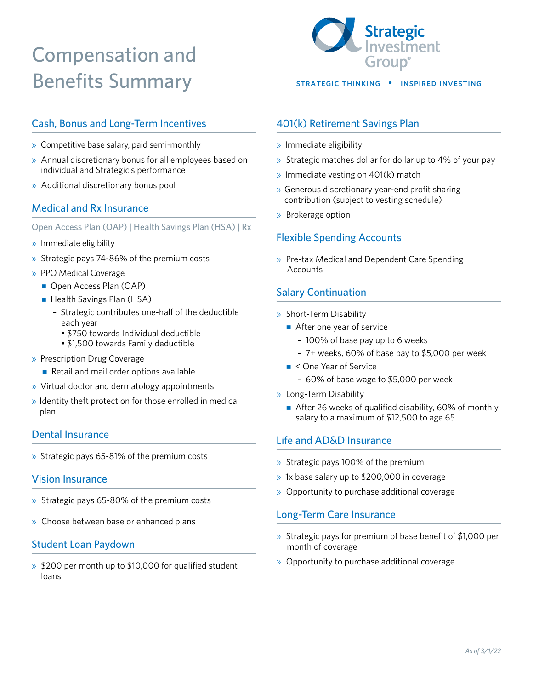# Compensation and Benefits Summary STRATEGIC THINKING • INSPIRED INVESTING



# Cash, Bonus and Long-Term Incentives

- » Competitive base salary, paid semi-monthly
- » Annual discretionary bonus for all employees based on individual and Strategic's performance
- » Additional discretionary bonus pool

# Medical and Rx Insurance

Open Access Plan (OAP) | Health Savings Plan (HSA) | Rx

- » Immediate eligibility
- » Strategic pays 74-86% of the premium costs
- » PPO Medical Coverage
	- Open Access Plan (OAP)
	- Health Savings Plan (HSA)
		- Strategic contributes one-half of the deductible each year
			- \$750 towards Individual deductible
			- \$1,500 towards Family deductible
- » Prescription Drug Coverage
	- Retail and mail order options available
- » Virtual doctor and dermatology appointments
- » Identity theft protection for those enrolled in medical plan

### Dental Insurance

» Strategic pays 65-81% of the premium costs

#### Vision Insurance

- » Strategic pays 65-80% of the premium costs
- » Choose between base or enhanced plans

### Student Loan Paydown

» \$200 per month up to \$10,000 for qualified student loans

### 401(k) Retirement Savings Plan

- » Immediate eligibility
- » Strategic matches dollar for dollar up to 4% of your pay
- » Immediate vesting on 401(k) match
- » Generous discretionary year-end profit sharing contribution (subject to vesting schedule)
- » Brokerage option

# Flexible Spending Accounts

» Pre-tax Medical and Dependent Care Spending **Accounts** 

# Salary Continuation

#### » Short-Term Disability

- After one year of service
	- 100% of base pay up to 6 weeks
	- 7+ weeks, 60% of base pay to \$5,000 per week
- $\blacksquare$  < One Year of Service
	- 60% of base wage to \$5,000 per week
- » Long-Term Disability
	- After 26 weeks of qualified disability, 60% of monthly salary to a maximum of \$12,500 to age 65

### Life and AD&D Insurance

- » Strategic pays 100% of the premium
- » 1x base salary up to \$200,000 in coverage
- » Opportunity to purchase additional coverage

### Long-Term Care Insurance

- » Strategic pays for premium of base benefit of \$1,000 per month of coverage
- » Opportunity to purchase additional coverage